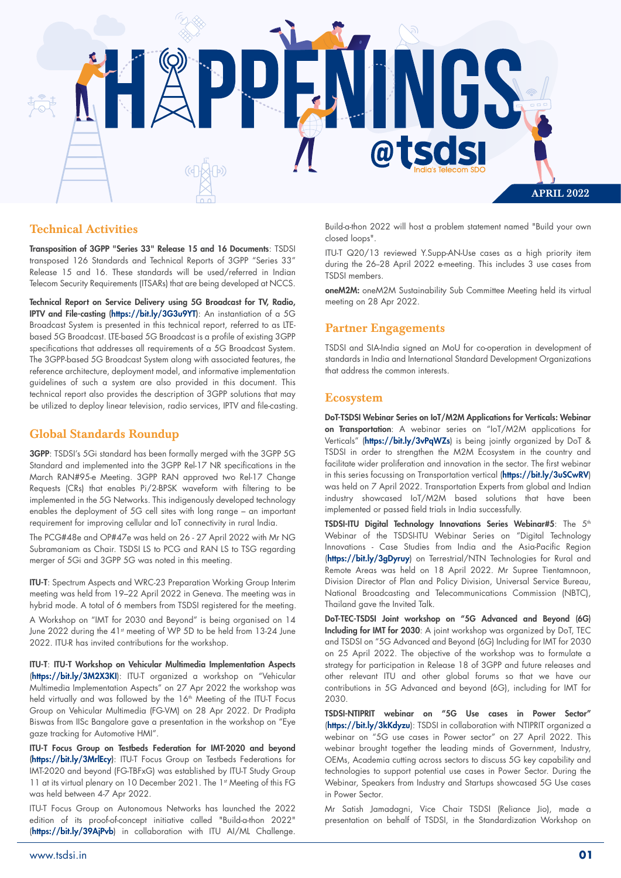

Transposition of 3GPP "Series 33" Release 15 and 16 Documents: TSDSI transposed 126 Standards and Technical Reports of 3GPP "Series 33" Release 15 and 16. These standards will be used/referred in Indian Telecom Security Requirements (ITSARs) that are being developed at NCCS.

Technical Report on Service Delivery using 5G Broadcast for TV, Radio, IPTV and File-casting (https://bit.ly/3G3u9YT): An instantiation of a 5G Broadcast System is presented in this technical report, referred to as LTEbased 5G Broadcast. LTE-based 5G Broadcast is a profile of existing 3GPP specifications that addresses all requirements of a 5G Broadcast System. The 3GPP-based 5G Broadcast System along with associated features, the reference architecture, deployment model, and informative implementation guidelines of such a system are also provided in this document. This technical report also provides the description of 3GPP solutions that may be utilized to deploy linear television, radio services, IPTV and file-casting.

## Global Standards Roundup

3GPP: TSDSI's 5Gi standard has been formally merged with the 3GPP 5G Standard and implemented into the 3GPP Rel-17 NR specifications in the March RAN#95-e Meeting. 3GPP RAN approved two Rel-17 Change Requests (CRs) that enables Pi/2-BPSK waveform with filtering to be implemented in the 5G Networks. This indigenously developed technology enables the deployment of 5G cell sites with long range – an important requirement for improving cellular and IoT connectivity in rural India.

The PCG#48e and OP#47e was held on 26 - 27 April 2022 with Mr NG Subramaniam as Chair. TSDSI LS to PCG and RAN LS to TSG regarding merger of 5Gi and 3GPP 5G was noted in this meeting.

ITU-T: Spectrum Aspects and WRC-23 Preparation Working Group Interim meeting was held from 19–22 April 2022 in Geneva. The meeting was in hybrid mode. A total of 6 members from TSDSI registered for the meeting.

A Workshop on "IMT for 2030 and Beyond" is being organised on 14 June 2022 during the 41<sup>st</sup> meeting of WP 5D to be held from 13-24 June 2022. ITU-R has invited contributions for the workshop.

ITU-T: ITU-T Workshop on Vehicular Multimedia Implementation Aspects (https://bit.ly/3M2X3KI): ITU-T organized a workshop on "Vehicular Multimedia Implementation Aspects" on 27 Apr 2022 the workshop was held virtually and was followed by the 16<sup>th</sup> Meeting of the ITU-T Focus Group on Vehicular Multimedia (FG-VM) on 28 Apr 2022. Dr Pradipta Biswas from IISc Bangalore gave a presentation in the workshop on "Eye gaze tracking for Automotive HMI".

ITU-T Focus Group on Testbeds Federation for IMT-2020 and beyond (https://bit.ly/3MrlEcy): ITU-T Focus Group on Testbeds Federations for IMT-2020 and beyond (FG-TBFxG) was established by ITU-T Study Group 11 at its virtual plenary on 10 December 2021. The 1st Meeting of this FG was held between 4-7 Apr 2022.

ITU-T Focus Group on Autonomous Networks has launched the 2022 edition of its proof-of-concept initiative called "Build-a-thon 2022" (https://bit.ly/39AjPvb) in collaboration with ITU AI/ML Challenge.

Technical Activities **Technical Activities** Build-a-thon 2022 will host a problem statement named "Build your own closed loops".

> ITU-T Q20/13 reviewed Y.Supp-AN-Use cases as a high priority item during the 26-28 April 2022 e-meeting. This includes 3 use cases from TSDSI members.

> oneM2M: oneM2M Sustainability Sub Committee Meeting held its virtual meeting on 28 Apr 2022.

## Partner Engagements

TSDSI and SIA-India signed an MoU for co-operation in development of standards in India and International Standard Development Organizations that address the common interests.

### Ecosystem

DoT-TSDSI Webinar Series on IoT/M2M Applications for Verticals: Webinar on Transportation: A webinar series on "IoT/M2M applications for Verticals" (https://bit.ly/3vPqWZs) is being jointly organized by DoT & TSDSI in order to strengthen the M2M Ecosystem in the country and facilitate wider proliferation and innovation in the sector. The first webinar in this series focussing on Transportation vertical (https://bit.ly/3uSCwRV) was held on 7 April 2022. Transportation Experts from global and Indian industry showcased IoT/M2M based solutions that have been implemented or passed field trials in India successfully.

TSDSI-ITU Digital Technology Innovations Series Webinar#5: The 5<sup>th</sup> Webinar of the TSDSI-ITU Webinar Series on "Digital Technology Innovations - Case Studies from India and the Asia-Pacific Region (https://bit.ly/3gDyruy) on Terrestrial/NTN Technologies for Rural and Remote Areas was held on 18 April 2022. Mr Supree Tientamnoon, Division Director of Plan and Policy Division, Universal Service Bureau, National Broadcasting and Telecommunications Commission (NBTC), Thailand gave the Invited Talk.

DoT-TEC-TSDSI Joint workshop on "5G Advanced and Beyond (6G) Including for IMT for 2030: A joint workshop was organized by DoT, TEC and TSDSI on "5G Advanced and Beyond (6G) Including for IMT for 2030 on 25 April 2022. The objective of the workshop was to formulate a strategy for participation in Release 18 of 3GPP and future releases and other relevant ITU and other global forums so that we have our contributions in 5G Advanced and beyond (6G), including for IMT for 2030.

TSDSI-NTIPRIT webinar on "5G Use cases in Power Sector" (https://bit.ly/3kKdyzu): TSDSI in collaboration with NTIPRIT organized a webinar on "5G use cases in Power sector" on 27 April 2022. This webinar brought together the leading minds of Government, Industry, OEMs, Academia cutting across sectors to discuss 5G key capability and technologies to support potential use cases in Power Sector. During the Webinar, Speakers from Industry and Startups showcased 5G Use cases in Power Sector.

Mr Satish Jamadagni, Vice Chair TSDSI (Reliance Jio), made a presentation on behalf of TSDSI, in the Standardization Workshop on